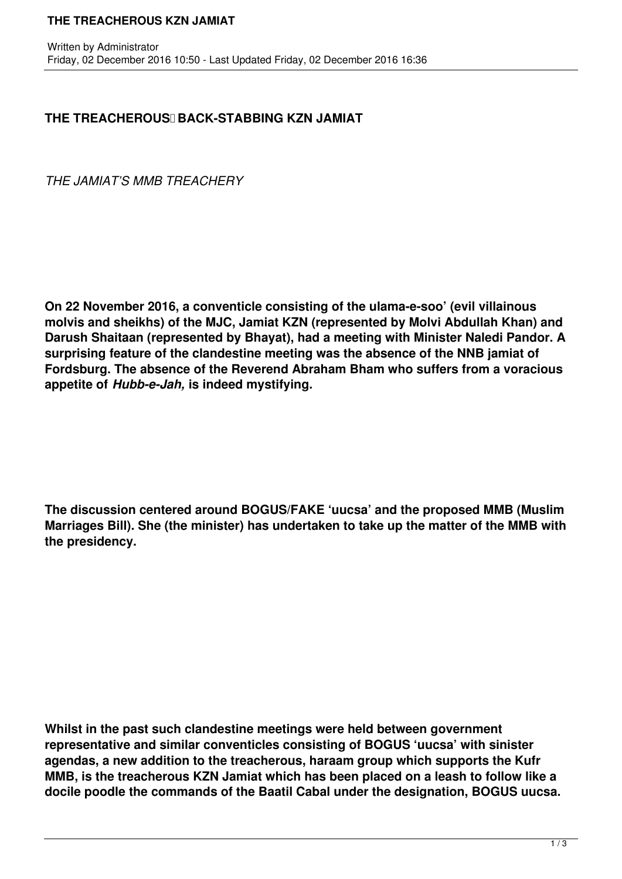## **THE TREACHEROUS KZN JAMIAT**

## **THE TREACHEROUS BACK-STABBING KZN JAMIAT**

*THE JAMIAT'S MMB TREACHERY*

**On 22 November 2016, a conventicle consisting of the ulama-e-soo' (evil villainous molvis and sheikhs) of the MJC, Jamiat KZN (represented by Molvi Abdullah Khan) and Darush Shaitaan (represented by Bhayat), had a meeting with Minister Naledi Pandor. A surprising feature of the clandestine meeting was the absence of the NNB jamiat of Fordsburg. The absence of the Reverend Abraham Bham who suffers from a voracious appetite of** *Hubb-e-Jah,* **is indeed mystifying.**

**The discussion centered around BOGUS/FAKE 'uucsa' and the proposed MMB (Muslim Marriages Bill). She (the minister) has undertaken to take up the matter of the MMB with the presidency.**

**Whilst in the past such clandestine meetings were held between government representative and similar conventicles consisting of BOGUS 'uucsa' with sinister agendas, a new addition to the treacherous, haraam group which supports the Kufr MMB, is the treacherous KZN Jamiat which has been placed on a leash to follow like a docile poodle the commands of the Baatil Cabal under the designation, BOGUS uucsa.**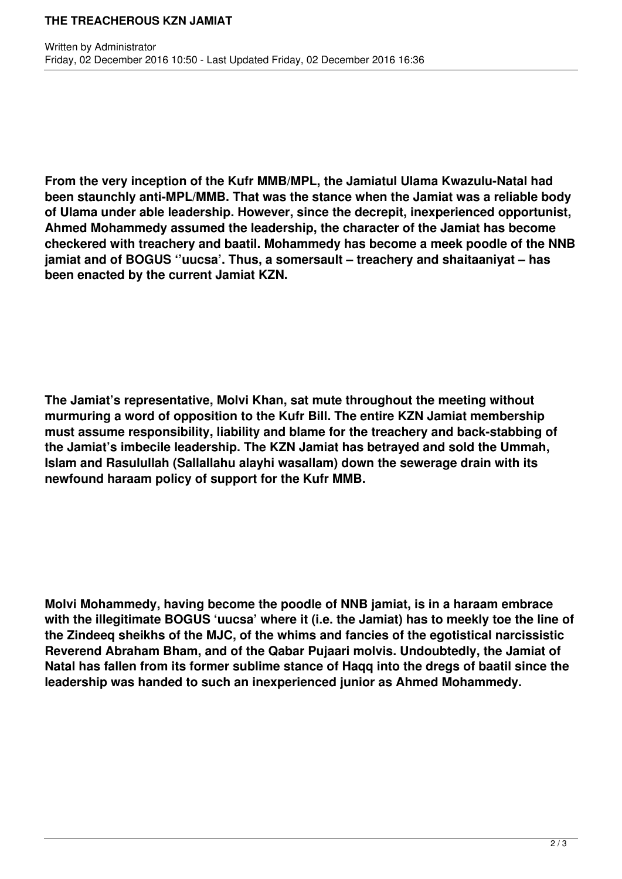## **THE TREACHEROUS KZN JAMIAT**

**From the very inception of the Kufr MMB/MPL, the Jamiatul Ulama Kwazulu-Natal had been staunchly anti-MPL/MMB. That was the stance when the Jamiat was a reliable body of Ulama under able leadership. However, since the decrepit, inexperienced opportunist, Ahmed Mohammedy assumed the leadership, the character of the Jamiat has become checkered with treachery and baatil. Mohammedy has become a meek poodle of the NNB jamiat and of BOGUS ''uucsa'. Thus, a somersault – treachery and shaitaaniyat – has been enacted by the current Jamiat KZN.**

**The Jamiat's representative, Molvi Khan, sat mute throughout the meeting without murmuring a word of opposition to the Kufr Bill. The entire KZN Jamiat membership must assume responsibility, liability and blame for the treachery and back-stabbing of the Jamiat's imbecile leadership. The KZN Jamiat has betrayed and sold the Ummah, Islam and Rasulullah (Sallallahu alayhi wasallam) down the sewerage drain with its newfound haraam policy of support for the Kufr MMB.**

**Molvi Mohammedy, having become the poodle of NNB jamiat, is in a haraam embrace with the illegitimate BOGUS 'uucsa' where it (i.e. the Jamiat) has to meekly toe the line of the Zindeeq sheikhs of the MJC, of the whims and fancies of the egotistical narcissistic Reverend Abraham Bham, and of the Qabar Pujaari molvis. Undoubtedly, the Jamiat of Natal has fallen from its former sublime stance of Haqq into the dregs of baatil since the leadership was handed to such an inexperienced junior as Ahmed Mohammedy.**